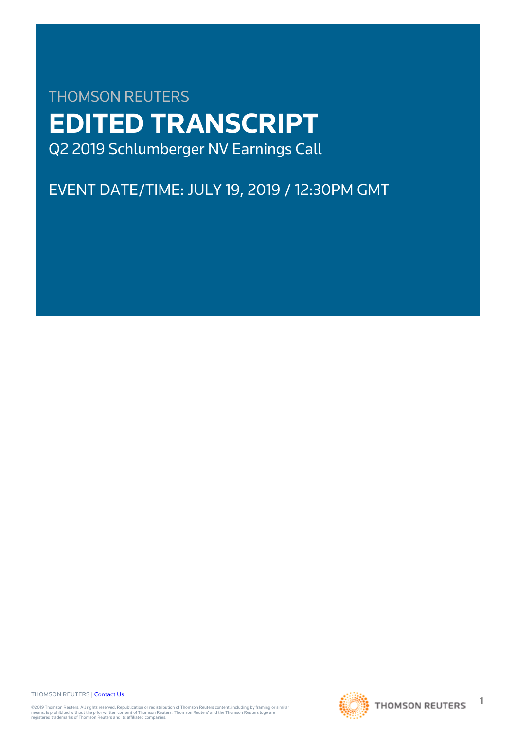# THOMSON REUTERS **EDITED TRANSCRIPT** Q2 2019 Schlumberger NV Earnings Call

# EVENT DATE/TIME: JULY 19, 2019 / 12:30PM GMT

THOMSON REUTERS | [Contact Us](https://my.thomsonreuters.com/ContactUsNew)

©2019 Thomson Reuters. All rights reserved. Republication or redistribution of Thomson Reuters content, including by framing or similar<br>means, is prohibited without the prior written consent of Thomson Reuters. "Thomson Re



1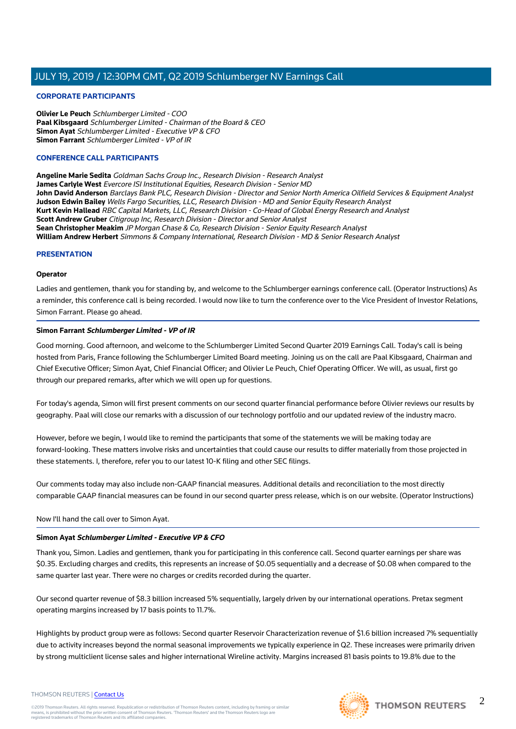#### **CORPORATE PARTICIPANTS**

**Olivier Le Peuch** Schlumberger Limited - COO **Paal Kibsgaard** Schlumberger Limited - Chairman of the Board & CEO **Simon Ayat** Schlumberger Limited - Executive VP & CFO **Simon Farrant** Schlumberger Limited - VP of IR

#### **CONFERENCE CALL PARTICIPANTS**

**Angeline Marie Sedita** Goldman Sachs Group Inc., Research Division - Research Analyst **James Carlyle West** Evercore ISI Institutional Equities, Research Division - Senior MD **John David Anderson** Barclays Bank PLC, Research Division - Director and Senior North America Oilfield Services & Equipment Analyst **Judson Edwin Bailey** Wells Fargo Securities, LLC, Research Division - MD and Senior Equity Research Analyst **Kurt Kevin Hallead** RBC Capital Markets, LLC, Research Division - Co-Head of Global Energy Research and Analyst **Scott Andrew Gruber** Citigroup Inc, Research Division - Director and Senior Analyst **Sean Christopher Meakim** JP Morgan Chase & Co, Research Division - Senior Equity Research Analyst **William Andrew Herbert** Simmons & Company International, Research Division - MD & Senior Research Analyst

#### **PRESENTATION**

#### **Operator**

Ladies and gentlemen, thank you for standing by, and welcome to the Schlumberger earnings conference call. (Operator Instructions) As a reminder, this conference call is being recorded. I would now like to turn the conference over to the Vice President of Investor Relations, Simon Farrant. Please go ahead.

#### **Simon Farrant Schlumberger Limited - VP of IR**

Good morning. Good afternoon, and welcome to the Schlumberger Limited Second Quarter 2019 Earnings Call. Today's call is being hosted from Paris, France following the Schlumberger Limited Board meeting. Joining us on the call are Paal Kibsgaard, Chairman and Chief Executive Officer; Simon Ayat, Chief Financial Officer; and Olivier Le Peuch, Chief Operating Officer. We will, as usual, first go through our prepared remarks, after which we will open up for questions.

For today's agenda, Simon will first present comments on our second quarter financial performance before Olivier reviews our results by geography. Paal will close our remarks with a discussion of our technology portfolio and our updated review of the industry macro.

However, before we begin, I would like to remind the participants that some of the statements we will be making today are forward-looking. These matters involve risks and uncertainties that could cause our results to differ materially from those projected in these statements. I, therefore, refer you to our latest 10-K filing and other SEC filings.

Our comments today may also include non-GAAP financial measures. Additional details and reconciliation to the most directly comparable GAAP financial measures can be found in our second quarter press release, which is on our website. (Operator Instructions)

Now I'll hand the call over to Simon Ayat.

#### **Simon Ayat Schlumberger Limited - Executive VP & CFO**

Thank you, Simon. Ladies and gentlemen, thank you for participating in this conference call. Second quarter earnings per share was \$0.35. Excluding charges and credits, this represents an increase of \$0.05 sequentially and a decrease of \$0.08 when compared to the same quarter last year. There were no charges or credits recorded during the quarter.

Our second quarter revenue of \$8.3 billion increased 5% sequentially, largely driven by our international operations. Pretax segment operating margins increased by 17 basis points to 11.7%.

Highlights by product group were as follows: Second quarter Reservoir Characterization revenue of \$1.6 billion increased 7% sequentially due to activity increases beyond the normal seasonal improvements we typically experience in Q2. These increases were primarily driven by strong multiclient license sales and higher international Wireline activity. Margins increased 81 basis points to 19.8% due to the





#### THOMSON REUTERS | [Contact Us](https://my.thomsonreuters.com/ContactUsNew)

©2019 Thomson Reuters. All rights reserved. Republication or redistribution of Thomson Reuters content, including by framing or similar<br>means, is prohibited without the prior written consent of Thomson Reuters. "Thomson Re

 $\mathfrak{D}$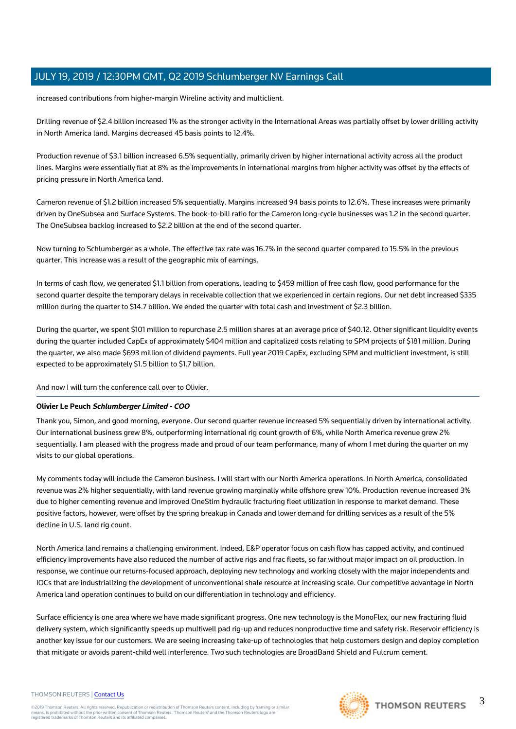increased contributions from higher-margin Wireline activity and multiclient.

Drilling revenue of \$2.4 billion increased 1% as the stronger activity in the International Areas was partially offset by lower drilling activity in North America land. Margins decreased 45 basis points to 12.4%.

Production revenue of \$3.1 billion increased 6.5% sequentially, primarily driven by higher international activity across all the product lines. Margins were essentially flat at 8% as the improvements in international margins from higher activity was offset by the effects of pricing pressure in North America land.

Cameron revenue of \$1.2 billion increased 5% sequentially. Margins increased 94 basis points to 12.6%. These increases were primarily driven by OneSubsea and Surface Systems. The book-to-bill ratio for the Cameron long-cycle businesses was 1.2 in the second quarter. The OneSubsea backlog increased to \$2.2 billion at the end of the second quarter.

Now turning to Schlumberger as a whole. The effective tax rate was 16.7% in the second quarter compared to 15.5% in the previous quarter. This increase was a result of the geographic mix of earnings.

In terms of cash flow, we generated \$1.1 billion from operations, leading to \$459 million of free cash flow, good performance for the second quarter despite the temporary delays in receivable collection that we experienced in certain regions. Our net debt increased \$335 million during the quarter to \$14.7 billion. We ended the quarter with total cash and investment of \$2.3 billion.

During the quarter, we spent \$101 million to repurchase 2.5 million shares at an average price of \$40.12. Other significant liquidity events during the quarter included CapEx of approximately \$404 million and capitalized costs relating to SPM projects of \$181 million. During the quarter, we also made \$693 million of dividend payments. Full year 2019 CapEx, excluding SPM and multiclient investment, is still expected to be approximately \$1.5 billion to \$1.7 billion.

And now I will turn the conference call over to Olivier.

#### **Olivier Le Peuch Schlumberger Limited - COO**

Thank you, Simon, and good morning, everyone. Our second quarter revenue increased 5% sequentially driven by international activity. Our international business grew 8%, outperforming international rig count growth of 6%, while North America revenue grew 2% sequentially. I am pleased with the progress made and proud of our team performance, many of whom I met during the quarter on my visits to our global operations.

My comments today will include the Cameron business. I will start with our North America operations. In North America, consolidated revenue was 2% higher sequentially, with land revenue growing marginally while offshore grew 10%. Production revenue increased 3% due to higher cementing revenue and improved OneStim hydraulic fracturing fleet utilization in response to market demand. These positive factors, however, were offset by the spring breakup in Canada and lower demand for drilling services as a result of the 5% decline in U.S. land rig count.

North America land remains a challenging environment. Indeed, E&P operator focus on cash flow has capped activity, and continued efficiency improvements have also reduced the number of active rigs and frac fleets, so far without major impact on oil production. In response, we continue our returns-focused approach, deploying new technology and working closely with the major independents and IOCs that are industrializing the development of unconventional shale resource at increasing scale. Our competitive advantage in North America land operation continues to build on our differentiation in technology and efficiency.

Surface efficiency is one area where we have made significant progress. One new technology is the MonoFlex, our new fracturing fluid delivery system, which significantly speeds up multiwell pad rig-up and reduces nonproductive time and safety risk. Reservoir efficiency is another key issue for our customers. We are seeing increasing take-up of technologies that help customers design and deploy completion that mitigate or avoids parent-child well interference. Two such technologies are BroadBand Shield and Fulcrum cement.

#### THOMSON REUTERS | [Contact Us](https://my.thomsonreuters.com/ContactUsNew)

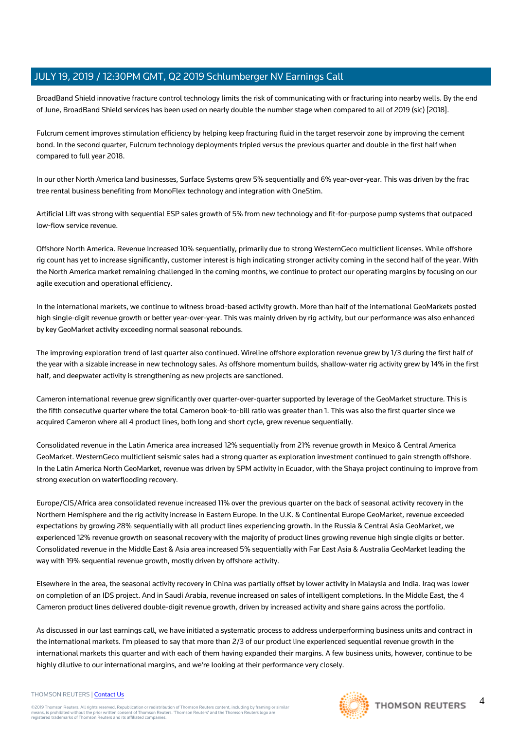BroadBand Shield innovative fracture control technology limits the risk of communicating with or fracturing into nearby wells. By the end of June, BroadBand Shield services has been used on nearly double the number stage when compared to all of 2019 (sic) [2018].

Fulcrum cement improves stimulation efficiency by helping keep fracturing fluid in the target reservoir zone by improving the cement bond. In the second quarter, Fulcrum technology deployments tripled versus the previous quarter and double in the first half when compared to full year 2018.

In our other North America land businesses, Surface Systems grew 5% sequentially and 6% year-over-year. This was driven by the frac tree rental business benefiting from MonoFlex technology and integration with OneStim.

Artificial Lift was strong with sequential ESP sales growth of 5% from new technology and fit-for-purpose pump systems that outpaced low-flow service revenue.

Offshore North America. Revenue Increased 10% sequentially, primarily due to strong WesternGeco multiclient licenses. While offshore rig count has yet to increase significantly, customer interest is high indicating stronger activity coming in the second half of the year. With the North America market remaining challenged in the coming months, we continue to protect our operating margins by focusing on our agile execution and operational efficiency.

In the international markets, we continue to witness broad-based activity growth. More than half of the international GeoMarkets posted high single-digit revenue growth or better year-over-year. This was mainly driven by rig activity, but our performance was also enhanced by key GeoMarket activity exceeding normal seasonal rebounds.

The improving exploration trend of last quarter also continued. Wireline offshore exploration revenue grew by 1/3 during the first half of the year with a sizable increase in new technology sales. As offshore momentum builds, shallow-water rig activity grew by 14% in the first half, and deepwater activity is strengthening as new projects are sanctioned.

Cameron international revenue grew significantly over quarter-over-quarter supported by leverage of the GeoMarket structure. This is the fifth consecutive quarter where the total Cameron book-to-bill ratio was greater than 1. This was also the first quarter since we acquired Cameron where all 4 product lines, both long and short cycle, grew revenue sequentially.

Consolidated revenue in the Latin America area increased 12% sequentially from 21% revenue growth in Mexico & Central America GeoMarket. WesternGeco multiclient seismic sales had a strong quarter as exploration investment continued to gain strength offshore. In the Latin America North GeoMarket, revenue was driven by SPM activity in Ecuador, with the Shaya project continuing to improve from strong execution on waterflooding recovery.

Europe/CIS/Africa area consolidated revenue increased 11% over the previous quarter on the back of seasonal activity recovery in the Northern Hemisphere and the rig activity increase in Eastern Europe. In the U.K. & Continental Europe GeoMarket, revenue exceeded expectations by growing 28% sequentially with all product lines experiencing growth. In the Russia & Central Asia GeoMarket, we experienced 12% revenue growth on seasonal recovery with the majority of product lines growing revenue high single digits or better. Consolidated revenue in the Middle East & Asia area increased 5% sequentially with Far East Asia & Australia GeoMarket leading the way with 19% sequential revenue growth, mostly driven by offshore activity.

Elsewhere in the area, the seasonal activity recovery in China was partially offset by lower activity in Malaysia and India. Iraq was lower on completion of an IDS project. And in Saudi Arabia, revenue increased on sales of intelligent completions. In the Middle East, the 4 Cameron product lines delivered double-digit revenue growth, driven by increased activity and share gains across the portfolio.

As discussed in our last earnings call, we have initiated a systematic process to address underperforming business units and contract in the international markets. I'm pleased to say that more than 2/3 of our product line experienced sequential revenue growth in the international markets this quarter and with each of them having expanded their margins. A few business units, however, continue to be highly dilutive to our international margins, and we're looking at their performance very closely.

#### THOMSON REUTERS | [Contact Us](https://my.thomsonreuters.com/ContactUsNew)

©2019 Thomson Reuters. All rights reserved. Republication or redistribution of Thomson Reuters content, including by framing or similar<br>means, is prohibited without the prior written consent of Thomson Reuters. "Thomson Re



 $\Delta$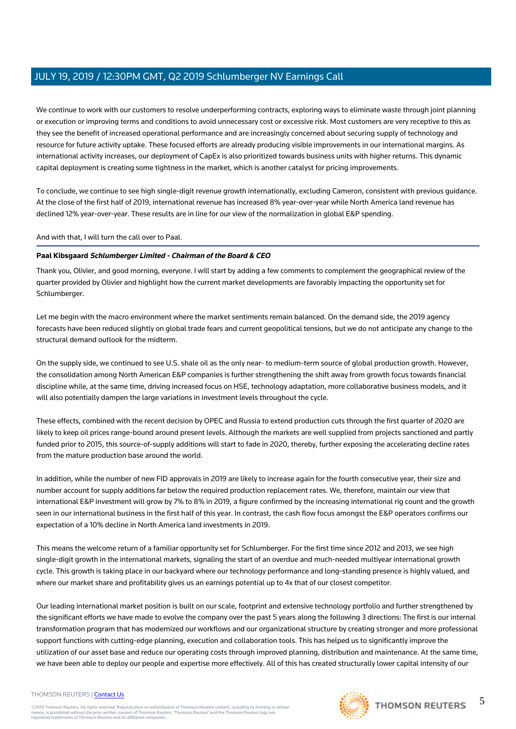We continue to work with our customers to resolve underperforming contracts, exploring ways to eliminate waste through joint planning or execution or improving terms and conditions to avoid unnecessary cost or excessive risk. Most customers are very receptive to this as they see the benefit of increased operational performance and are increasingly concerned about securing supply of technology and resource for future activity uptake. These focused efforts are already producing visible improvements in our international margins. As international activity increases, our deployment of CapEx is also prioritized towards business units with higher returns. This dynamic capital deployment is creating some tightness in the market, which is another catalyst for pricing improvements.

To conclude, we continue to see high single-digit revenue growth internationally, excluding Cameron, consistent with previous guidance. At the close of the first half of 2019, international revenue has increased 8% year-over-year while North America land revenue has declined 12% year-over-year. These results are in line for our view of the normalization in global E&P spending.

And with that, I will turn the call over to Paal.

#### **Paal Kibsgaard Schlumberger Limited - Chairman of the Board & CEO**

Thank you, Olivier, and good morning, everyone. I will start by adding a few comments to complement the geographical review of the quarter provided by Olivier and highlight how the current market developments are favorably impacting the opportunity set for Schlumberger.

Let me begin with the macro environment where the market sentiments remain balanced. On the demand side, the 2019 agency forecasts have been reduced slightly on global trade fears and current geopolitical tensions, but we do not anticipate any change to the structural demand outlook for the midterm.

On the supply side, we continued to see U.S. shale oil as the only near- to medium-term source of global production growth. However, the consolidation among North American E&P companies is further strengthening the shift away from growth focus towards financial discipline while, at the same time, driving increased focus on HSE, technology adaptation, more collaborative business models, and it will also potentially dampen the large variations in investment levels throughout the cycle.

These effects, combined with the recent decision by OPEC and Russia to extend production cuts through the first quarter of 2020 are likely to keep oil prices range-bound around present levels. Although the markets are well supplied from projects sanctioned and partly funded prior to 2015, this source-of-supply additions will start to fade in 2020, thereby, further exposing the accelerating decline rates from the mature production base around the world.

In addition, while the number of new FID approvals in 2019 are likely to increase again for the fourth consecutive year, their size and number account for supply additions far below the required production replacement rates. We, therefore, maintain our view that international E&P investment will grow by 7% to 8% in 2019, a figure confirmed by the increasing international rig count and the growth seen in our international business in the first half of this year. In contrast, the cash flow focus amongst the E&P operators confirms our expectation of a 10% decline in North America land investments in 2019.

This means the welcome return of a familiar opportunity set for Schlumberger. For the first time since 2012 and 2013, we see high single-digit growth in the international markets, signaling the start of an overdue and much-needed multiyear international growth cycle. This growth is taking place in our backyard where our technology performance and long-standing presence is highly valued, and where our market share and profitability gives us an earnings potential up to 4x that of our closest competitor.

Our leading international market position is built on our scale, footprint and extensive technology portfolio and further strengthened by the significant efforts we have made to evolve the company over the past 5 years along the following 3 directions: The first is our internal transformation program that has modernized our workflows and our organizational structure by creating stronger and more professional support functions with cutting-edge planning, execution and collaboration tools. This has helped us to significantly improve the utilization of our asset base and reduce our operating costs through improved planning, distribution and maintenance. At the same time, we have been able to deploy our people and expertise more effectively. All of this has created structurally lower capital intensity of our

#### THOMSON REUTERS | [Contact Us](https://my.thomsonreuters.com/ContactUsNew)

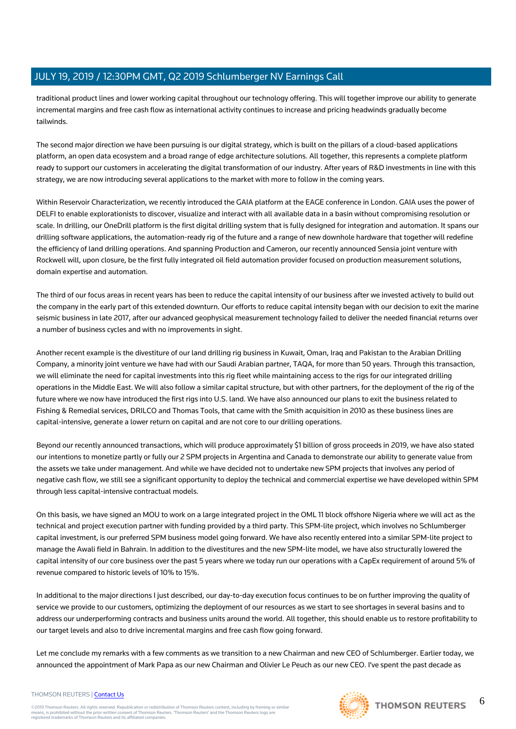traditional product lines and lower working capital throughout our technology offering. This will together improve our ability to generate incremental margins and free cash flow as international activity continues to increase and pricing headwinds gradually become tailwinds.

The second major direction we have been pursuing is our digital strategy, which is built on the pillars of a cloud-based applications platform, an open data ecosystem and a broad range of edge architecture solutions. All together, this represents a complete platform ready to support our customers in accelerating the digital transformation of our industry. After years of R&D investments in line with this strategy, we are now introducing several applications to the market with more to follow in the coming years.

Within Reservoir Characterization, we recently introduced the GAIA platform at the EAGE conference in London. GAIA uses the power of DELFI to enable explorationists to discover, visualize and interact with all available data in a basin without compromising resolution or scale. In drilling, our OneDrill platform is the first digital drilling system that is fully designed for integration and automation. It spans our drilling software applications, the automation-ready rig of the future and a range of new downhole hardware that together will redefine the efficiency of land drilling operations. And spanning Production and Cameron, our recently announced Sensia joint venture with Rockwell will, upon closure, be the first fully integrated oil field automation provider focused on production measurement solutions, domain expertise and automation.

The third of our focus areas in recent years has been to reduce the capital intensity of our business after we invested actively to build out the company in the early part of this extended downturn. Our efforts to reduce capital intensity began with our decision to exit the marine seismic business in late 2017, after our advanced geophysical measurement technology failed to deliver the needed financial returns over a number of business cycles and with no improvements in sight.

Another recent example is the divestiture of our land drilling rig business in Kuwait, Oman, Iraq and Pakistan to the Arabian Drilling Company, a minority joint venture we have had with our Saudi Arabian partner, TAQA, for more than 50 years. Through this transaction, we will eliminate the need for capital investments into this rig fleet while maintaining access to the rigs for our integrated drilling operations in the Middle East. We will also follow a similar capital structure, but with other partners, for the deployment of the rig of the future where we now have introduced the first rigs into U.S. land. We have also announced our plans to exit the business related to Fishing & Remedial services, DRILCO and Thomas Tools, that came with the Smith acquisition in 2010 as these business lines are capital-intensive, generate a lower return on capital and are not core to our drilling operations.

Beyond our recently announced transactions, which will produce approximately \$1 billion of gross proceeds in 2019, we have also stated our intentions to monetize partly or fully our 2 SPM projects in Argentina and Canada to demonstrate our ability to generate value from the assets we take under management. And while we have decided not to undertake new SPM projects that involves any period of negative cash flow, we still see a significant opportunity to deploy the technical and commercial expertise we have developed within SPM through less capital-intensive contractual models.

On this basis, we have signed an MOU to work on a large integrated project in the OML 11 block offshore Nigeria where we will act as the technical and project execution partner with funding provided by a third party. This SPM-lite project, which involves no Schlumberger capital investment, is our preferred SPM business model going forward. We have also recently entered into a similar SPM-lite project to manage the Awali field in Bahrain. In addition to the divestitures and the new SPM-lite model, we have also structurally lowered the capital intensity of our core business over the past 5 years where we today run our operations with a CapEx requirement of around 5% of revenue compared to historic levels of 10% to 15%.

In additional to the major directions I just described, our day-to-day execution focus continues to be on further improving the quality of service we provide to our customers, optimizing the deployment of our resources as we start to see shortages in several basins and to address our underperforming contracts and business units around the world. All together, this should enable us to restore profitability to our target levels and also to drive incremental margins and free cash flow going forward.

Let me conclude my remarks with a few comments as we transition to a new Chairman and new CEO of Schlumberger. Earlier today, we announced the appointment of Mark Papa as our new Chairman and Olivier Le Peuch as our new CEO. I've spent the past decade as

#### THOMSON REUTERS | [Contact Us](https://my.thomsonreuters.com/ContactUsNew)

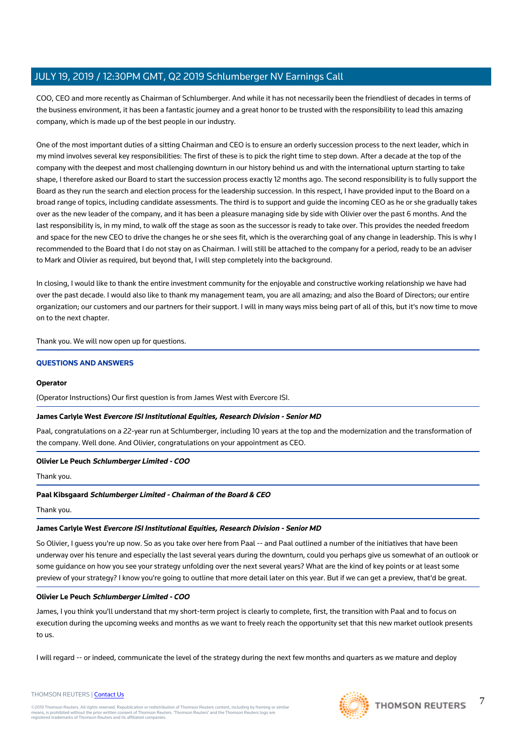COO, CEO and more recently as Chairman of Schlumberger. And while it has not necessarily been the friendliest of decades in terms of the business environment, it has been a fantastic journey and a great honor to be trusted with the responsibility to lead this amazing company, which is made up of the best people in our industry.

One of the most important duties of a sitting Chairman and CEO is to ensure an orderly succession process to the next leader, which in my mind involves several key responsibilities: The first of these is to pick the right time to step down. After a decade at the top of the company with the deepest and most challenging downturn in our history behind us and with the international upturn starting to take shape, I therefore asked our Board to start the succession process exactly 12 months ago. The second responsibility is to fully support the Board as they run the search and election process for the leadership succession. In this respect, I have provided input to the Board on a broad range of topics, including candidate assessments. The third is to support and guide the incoming CEO as he or she gradually takes over as the new leader of the company, and it has been a pleasure managing side by side with Olivier over the past 6 months. And the last responsibility is, in my mind, to walk off the stage as soon as the successor is ready to take over. This provides the needed freedom and space for the new CEO to drive the changes he or she sees fit, which is the overarching goal of any change in leadership. This is why I recommended to the Board that I do not stay on as Chairman. I will still be attached to the company for a period, ready to be an adviser to Mark and Olivier as required, but beyond that, I will step completely into the background.

In closing, I would like to thank the entire investment community for the enjoyable and constructive working relationship we have had over the past decade. I would also like to thank my management team, you are all amazing; and also the Board of Directors; our entire organization; our customers and our partners for their support. I will in many ways miss being part of all of this, but it's now time to move on to the next chapter.

Thank you. We will now open up for questions.

#### **QUESTIONS AND ANSWERS**

#### **Operator**

(Operator Instructions) Our first question is from James West with Evercore ISI.

#### **James Carlyle West Evercore ISI Institutional Equities, Research Division - Senior MD**

Paal, congratulations on a 22-year run at Schlumberger, including 10 years at the top and the modernization and the transformation of the company. Well done. And Olivier, congratulations on your appointment as CEO.

#### **Olivier Le Peuch Schlumberger Limited - COO**

Thank you.

#### **Paal Kibsgaard Schlumberger Limited - Chairman of the Board & CEO**

Thank you.

#### **James Carlyle West Evercore ISI Institutional Equities, Research Division - Senior MD**

So Olivier, I guess you're up now. So as you take over here from Paal -- and Paal outlined a number of the initiatives that have been underway over his tenure and especially the last several years during the downturn, could you perhaps give us somewhat of an outlook or some guidance on how you see your strategy unfolding over the next several years? What are the kind of key points or at least some preview of your strategy? I know you're going to outline that more detail later on this year. But if we can get a preview, that'd be great.

#### **Olivier Le Peuch Schlumberger Limited - COO**

James, I you think you'll understand that my short-term project is clearly to complete, first, the transition with Paal and to focus on execution during the upcoming weeks and months as we want to freely reach the opportunity set that this new market outlook presents to us.

I will regard -- or indeed, communicate the level of the strategy during the next few months and quarters as we mature and deploy





7

#### THOMSON REUTERS | [Contact Us](https://my.thomsonreuters.com/ContactUsNew)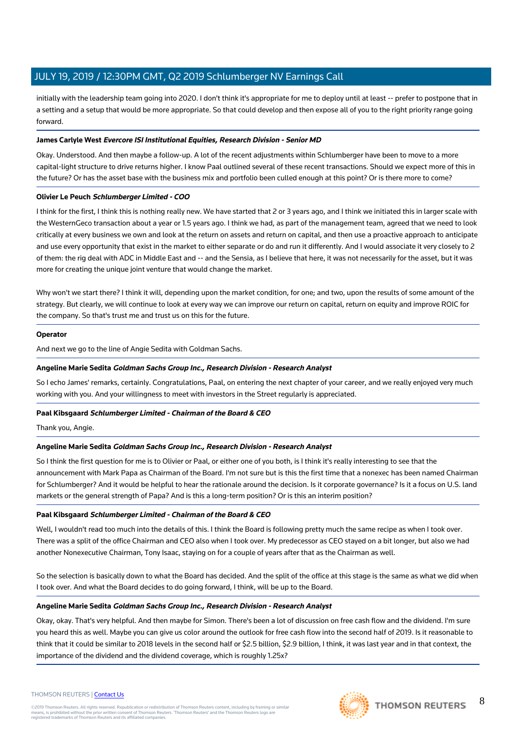initially with the leadership team going into 2020. I don't think it's appropriate for me to deploy until at least -- prefer to postpone that in a setting and a setup that would be more appropriate. So that could develop and then expose all of you to the right priority range going forward.

#### **James Carlyle West Evercore ISI Institutional Equities, Research Division - Senior MD**

Okay. Understood. And then maybe a follow-up. A lot of the recent adjustments within Schlumberger have been to move to a more capital-light structure to drive returns higher. I know Paal outlined several of these recent transactions. Should we expect more of this in the future? Or has the asset base with the business mix and portfolio been culled enough at this point? Or is there more to come?

#### **Olivier Le Peuch Schlumberger Limited - COO**

I think for the first, I think this is nothing really new. We have started that 2 or 3 years ago, and I think we initiated this in larger scale with the WesternGeco transaction about a year or 1.5 years ago. I think we had, as part of the management team, agreed that we need to look critically at every business we own and look at the return on assets and return on capital, and then use a proactive approach to anticipate and use every opportunity that exist in the market to either separate or do and run it differently. And I would associate it very closely to 2 of them: the rig deal with ADC in Middle East and -- and the Sensia, as I believe that here, it was not necessarily for the asset, but it was more for creating the unique joint venture that would change the market.

Why won't we start there? I think it will, depending upon the market condition, for one; and two, upon the results of some amount of the strategy. But clearly, we will continue to look at every way we can improve our return on capital, return on equity and improve ROIC for the company. So that's trust me and trust us on this for the future.

#### **Operator**

And next we go to the line of Angie Sedita with Goldman Sachs.

#### **Angeline Marie Sedita Goldman Sachs Group Inc., Research Division - Research Analyst**

So I echo James' remarks, certainly. Congratulations, Paal, on entering the next chapter of your career, and we really enjoyed very much working with you. And your willingness to meet with investors in the Street regularly is appreciated.

#### **Paal Kibsgaard Schlumberger Limited - Chairman of the Board & CEO**

Thank you, Angie.

#### **Angeline Marie Sedita Goldman Sachs Group Inc., Research Division - Research Analyst**

So I think the first question for me is to Olivier or Paal, or either one of you both, is I think it's really interesting to see that the announcement with Mark Papa as Chairman of the Board. I'm not sure but is this the first time that a nonexec has been named Chairman for Schlumberger? And it would be helpful to hear the rationale around the decision. Is it corporate governance? Is it a focus on U.S. land markets or the general strength of Papa? And is this a long-term position? Or is this an interim position?

#### **Paal Kibsgaard Schlumberger Limited - Chairman of the Board & CEO**

Well, I wouldn't read too much into the details of this. I think the Board is following pretty much the same recipe as when I took over. There was a split of the office Chairman and CEO also when I took over. My predecessor as CEO stayed on a bit longer, but also we had another Nonexecutive Chairman, Tony Isaac, staying on for a couple of years after that as the Chairman as well.

So the selection is basically down to what the Board has decided. And the split of the office at this stage is the same as what we did when I took over. And what the Board decides to do going forward, I think, will be up to the Board.

#### **Angeline Marie Sedita Goldman Sachs Group Inc., Research Division - Research Analyst**

Okay, okay. That's very helpful. And then maybe for Simon. There's been a lot of discussion on free cash flow and the dividend. I'm sure you heard this as well. Maybe you can give us color around the outlook for free cash flow into the second half of 2019. Is it reasonable to think that it could be similar to 2018 levels in the second half or \$2.5 billion, \$2.9 billion, I think, it was last year and in that context, the importance of the dividend and the dividend coverage, which is roughly 1.25x?



#### 8 **THOMSON REUTERS**

#### THOMSON REUTERS | [Contact Us](https://my.thomsonreuters.com/ContactUsNew)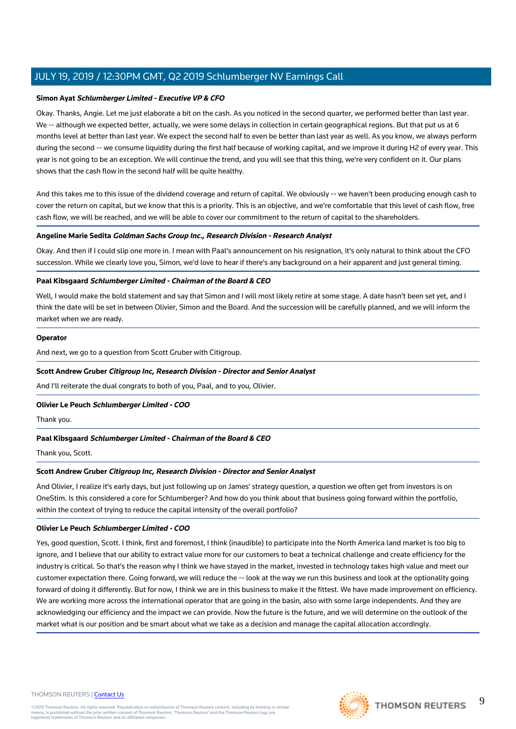#### **Simon Ayat Schlumberger Limited - Executive VP & CFO**

Okay. Thanks, Angie. Let me just elaborate a bit on the cash. As you noticed in the second quarter, we performed better than last year. We -- although we expected better, actually, we were some delays in collection in certain geographical regions. But that put us at 6 months level at better than last year. We expect the second half to even be better than last year as well. As you know, we always perform during the second -- we consume liquidity during the first half because of working capital, and we improve it during H2 of every year. This year is not going to be an exception. We will continue the trend, and you will see that this thing, we're very confident on it. Our plans shows that the cash flow in the second half will be quite healthy.

And this takes me to this issue of the dividend coverage and return of capital. We obviously -- we haven't been producing enough cash to cover the return on capital, but we know that this is a priority. This is an objective, and we're comfortable that this level of cash flow, free cash flow, we will be reached, and we will be able to cover our commitment to the return of capital to the shareholders.

#### **Angeline Marie Sedita Goldman Sachs Group Inc., Research Division - Research Analyst**

Okay. And then if I could slip one more in. I mean with Paal's announcement on his resignation, it's only natural to think about the CFO succession. While we clearly love you, Simon, we'd love to hear if there's any background on a heir apparent and just general timing.

#### **Paal Kibsgaard Schlumberger Limited - Chairman of the Board & CEO**

Well, I would make the bold statement and say that Simon and I will most likely retire at some stage. A date hasn't been set yet, and I think the date will be set in between Olivier, Simon and the Board. And the succession will be carefully planned, and we will inform the market when we are ready.

#### **Operator**

And next, we go to a question from Scott Gruber with Citigroup.

#### **Scott Andrew Gruber Citigroup Inc, Research Division - Director and Senior Analyst**

And I'll reiterate the dual congrats to both of you, Paal, and to you, Olivier.

#### **Olivier Le Peuch Schlumberger Limited - COO**

Thank you.

#### **Paal Kibsgaard Schlumberger Limited - Chairman of the Board & CEO**

Thank you, Scott.

#### **Scott Andrew Gruber Citigroup Inc, Research Division - Director and Senior Analyst**

And Olivier, I realize it's early days, but just following up on James' strategy question, a question we often get from investors is on OneStim. Is this considered a core for Schlumberger? And how do you think about that business going forward within the portfolio, within the context of trying to reduce the capital intensity of the overall portfolio?

#### **Olivier Le Peuch Schlumberger Limited - COO**

Yes, good question, Scott. I think, first and foremost, I think (inaudible) to participate into the North America land market is too big to ignore, and I believe that our ability to extract value more for our customers to beat a technical challenge and create efficiency for the industry is critical. So that's the reason why I think we have stayed in the market, invested in technology takes high value and meet our customer expectation there. Going forward, we will reduce the -- look at the way we run this business and look at the optionality going forward of doing it differently. But for now, I think we are in this business to make it the fittest. We have made improvement on efficiency. We are working more across the international operator that are going in the basin, also with some large independents. And they are acknowledging our efficiency and the impact we can provide. Now the future is the future, and we will determine on the outlook of the market what is our position and be smart about what we take as a decision and manage the capital allocation accordingly.

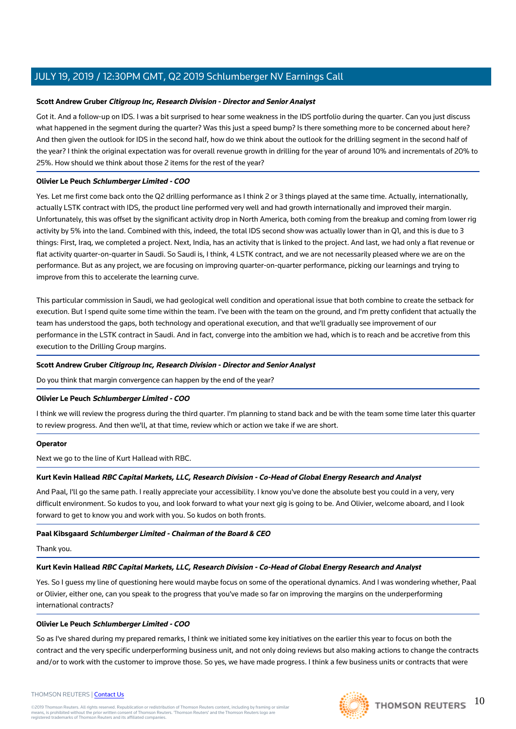#### **Scott Andrew Gruber Citigroup Inc, Research Division - Director and Senior Analyst**

Got it. And a follow-up on IDS. I was a bit surprised to hear some weakness in the IDS portfolio during the quarter. Can you just discuss what happened in the segment during the quarter? Was this just a speed bump? Is there something more to be concerned about here? And then given the outlook for IDS in the second half, how do we think about the outlook for the drilling segment in the second half of the year? I think the original expectation was for overall revenue growth in drilling for the year of around 10% and incrementals of 20% to 25%. How should we think about those 2 items for the rest of the year?

#### **Olivier Le Peuch Schlumberger Limited - COO**

Yes. Let me first come back onto the Q2 drilling performance as I think 2 or 3 things played at the same time. Actually, internationally, actually LSTK contract with IDS, the product line performed very well and had growth internationally and improved their margin. Unfortunately, this was offset by the significant activity drop in North America, both coming from the breakup and coming from lower rig activity by 5% into the land. Combined with this, indeed, the total IDS second show was actually lower than in Q1, and this is due to 3 things: First, Iraq, we completed a project. Next, India, has an activity that is linked to the project. And last, we had only a flat revenue or flat activity quarter-on-quarter in Saudi. So Saudi is, I think, 4 LSTK contract, and we are not necessarily pleased where we are on the performance. But as any project, we are focusing on improving quarter-on-quarter performance, picking our learnings and trying to improve from this to accelerate the learning curve.

This particular commission in Saudi, we had geological well condition and operational issue that both combine to create the setback for execution. But I spend quite some time within the team. I've been with the team on the ground, and I'm pretty confident that actually the team has understood the gaps, both technology and operational execution, and that we'll gradually see improvement of our performance in the LSTK contract in Saudi. And in fact, converge into the ambition we had, which is to reach and be accretive from this execution to the Drilling Group margins.

#### **Scott Andrew Gruber Citigroup Inc, Research Division - Director and Senior Analyst**

Do you think that margin convergence can happen by the end of the year?

#### **Olivier Le Peuch Schlumberger Limited - COO**

I think we will review the progress during the third quarter. I'm planning to stand back and be with the team some time later this quarter to review progress. And then we'll, at that time, review which or action we take if we are short.

#### **Operator**

Next we go to the line of Kurt Hallead with RBC.

#### **Kurt Kevin Hallead RBC Capital Markets, LLC, Research Division - Co-Head of Global Energy Research and Analyst**

And Paal, I'll go the same path. I really appreciate your accessibility. I know you've done the absolute best you could in a very, very difficult environment. So kudos to you, and look forward to what your next gig is going to be. And Olivier, welcome aboard, and I look forward to get to know you and work with you. So kudos on both fronts.

#### **Paal Kibsgaard Schlumberger Limited - Chairman of the Board & CEO**

Thank you.

#### **Kurt Kevin Hallead RBC Capital Markets, LLC, Research Division - Co-Head of Global Energy Research and Analyst**

Yes. So I guess my line of questioning here would maybe focus on some of the operational dynamics. And I was wondering whether, Paal or Olivier, either one, can you speak to the progress that you've made so far on improving the margins on the underperforming international contracts?

#### **Olivier Le Peuch Schlumberger Limited - COO**

So as I've shared during my prepared remarks, I think we initiated some key initiatives on the earlier this year to focus on both the contract and the very specific underperforming business unit, and not only doing reviews but also making actions to change the contracts and/or to work with the customer to improve those. So yes, we have made progress. I think a few business units or contracts that were

#### THOMSON REUTERS | [Contact Us](https://my.thomsonreuters.com/ContactUsNew)

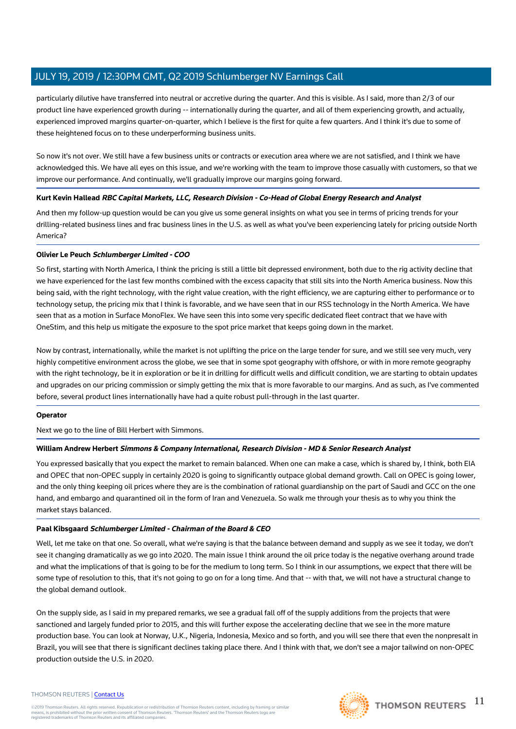particularly dilutive have transferred into neutral or accretive during the quarter. And this is visible. As I said, more than 2/3 of our product line have experienced growth during -- internationally during the quarter, and all of them experiencing growth, and actually, experienced improved margins quarter-on-quarter, which I believe is the first for quite a few quarters. And I think it's due to some of these heightened focus on to these underperforming business units.

So now it's not over. We still have a few business units or contracts or execution area where we are not satisfied, and I think we have acknowledged this. We have all eyes on this issue, and we're working with the team to improve those casually with customers, so that we improve our performance. And continually, we'll gradually improve our margins going forward.

#### **Kurt Kevin Hallead RBC Capital Markets, LLC, Research Division - Co-Head of Global Energy Research and Analyst**

And then my follow-up question would be can you give us some general insights on what you see in terms of pricing trends for your drilling-related business lines and frac business lines in the U.S. as well as what you've been experiencing lately for pricing outside North America?

#### **Olivier Le Peuch Schlumberger Limited - COO**

So first, starting with North America, I think the pricing is still a little bit depressed environment, both due to the rig activity decline that we have experienced for the last few months combined with the excess capacity that still sits into the North America business. Now this being said, with the right technology, with the right value creation, with the right efficiency, we are capturing either to performance or to technology setup, the pricing mix that I think is favorable, and we have seen that in our RSS technology in the North America. We have seen that as a motion in Surface MonoFlex. We have seen this into some very specific dedicated fleet contract that we have with OneStim, and this help us mitigate the exposure to the spot price market that keeps going down in the market.

Now by contrast, internationally, while the market is not uplifting the price on the large tender for sure, and we still see very much, very highly competitive environment across the globe, we see that in some spot geography with offshore, or with in more remote geography with the right technology, be it in exploration or be it in drilling for difficult wells and difficult condition, we are starting to obtain updates and upgrades on our pricing commission or simply getting the mix that is more favorable to our margins. And as such, as I've commented before, several product lines internationally have had a quite robust pull-through in the last quarter.

#### **Operator**

Next we go to the line of Bill Herbert with Simmons.

#### **William Andrew Herbert Simmons & Company International, Research Division - MD & Senior Research Analyst**

You expressed basically that you expect the market to remain balanced. When one can make a case, which is shared by, I think, both EIA and OPEC that non-OPEC supply in certainly 2020 is going to significantly outpace global demand growth. Call on OPEC is going lower, and the only thing keeping oil prices where they are is the combination of rational guardianship on the part of Saudi and GCC on the one hand, and embargo and quarantined oil in the form of Iran and Venezuela. So walk me through your thesis as to why you think the market stays balanced.

#### **Paal Kibsgaard Schlumberger Limited - Chairman of the Board & CEO**

Well, let me take on that one. So overall, what we're saying is that the balance between demand and supply as we see it today, we don't see it changing dramatically as we go into 2020. The main issue I think around the oil price today is the negative overhang around trade and what the implications of that is going to be for the medium to long term. So I think in our assumptions, we expect that there will be some type of resolution to this, that it's not going to go on for a long time. And that -- with that, we will not have a structural change to the global demand outlook.

On the supply side, as I said in my prepared remarks, we see a gradual fall off of the supply additions from the projects that were sanctioned and largely funded prior to 2015, and this will further expose the accelerating decline that we see in the more mature production base. You can look at Norway, U.K., Nigeria, Indonesia, Mexico and so forth, and you will see there that even the nonpresalt in Brazil, you will see that there is significant declines taking place there. And I think with that, we don't see a major tailwind on non-OPEC production outside the U.S. in 2020.

#### THOMSON REUTERS | [Contact Us](https://my.thomsonreuters.com/ContactUsNew)

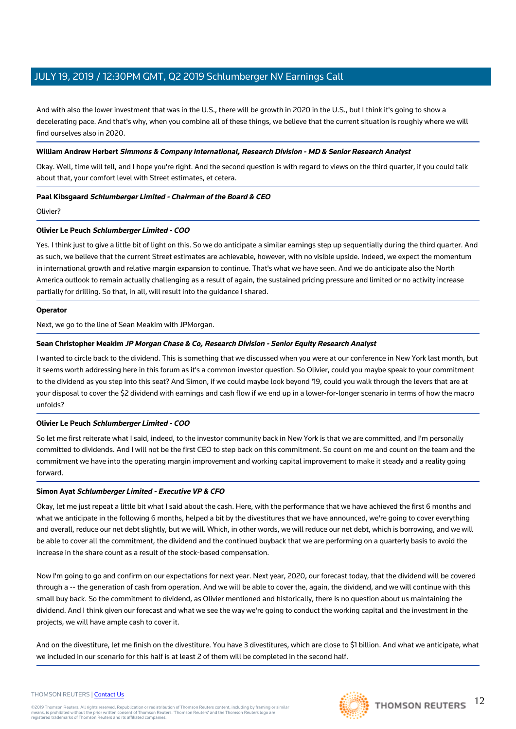And with also the lower investment that was in the U.S., there will be growth in 2020 in the U.S., but I think it's going to show a decelerating pace. And that's why, when you combine all of these things, we believe that the current situation is roughly where we will find ourselves also in 2020.

#### **William Andrew Herbert Simmons & Company International, Research Division - MD & Senior Research Analyst**

Okay. Well, time will tell, and I hope you're right. And the second question is with regard to views on the third quarter, if you could talk about that, your comfort level with Street estimates, et cetera.

#### **Paal Kibsgaard Schlumberger Limited - Chairman of the Board & CEO**

Olivier?

#### **Olivier Le Peuch Schlumberger Limited - COO**

Yes. I think just to give a little bit of light on this. So we do anticipate a similar earnings step up sequentially during the third quarter. And as such, we believe that the current Street estimates are achievable, however, with no visible upside. Indeed, we expect the momentum in international growth and relative margin expansion to continue. That's what we have seen. And we do anticipate also the North America outlook to remain actually challenging as a result of again, the sustained pricing pressure and limited or no activity increase partially for drilling. So that, in all, will result into the guidance I shared.

#### **Operator**

Next, we go to the line of Sean Meakim with JPMorgan.

#### **Sean Christopher Meakim JP Morgan Chase & Co, Research Division - Senior Equity Research Analyst**

I wanted to circle back to the dividend. This is something that we discussed when you were at our conference in New York last month, but it seems worth addressing here in this forum as it's a common investor question. So Olivier, could you maybe speak to your commitment to the dividend as you step into this seat? And Simon, if we could maybe look beyond '19, could you walk through the levers that are at your disposal to cover the \$2 dividend with earnings and cash flow if we end up in a lower-for-longer scenario in terms of how the macro unfolds?

#### **Olivier Le Peuch Schlumberger Limited - COO**

So let me first reiterate what I said, indeed, to the investor community back in New York is that we are committed, and I'm personally committed to dividends. And I will not be the first CEO to step back on this commitment. So count on me and count on the team and the commitment we have into the operating margin improvement and working capital improvement to make it steady and a reality going forward.

#### **Simon Ayat Schlumberger Limited - Executive VP & CFO**

Okay, let me just repeat a little bit what I said about the cash. Here, with the performance that we have achieved the first 6 months and what we anticipate in the following 6 months, helped a bit by the divestitures that we have announced, we're going to cover everything and overall, reduce our net debt slightly, but we will. Which, in other words, we will reduce our net debt, which is borrowing, and we will be able to cover all the commitment, the dividend and the continued buyback that we are performing on a quarterly basis to avoid the increase in the share count as a result of the stock-based compensation.

Now I'm going to go and confirm on our expectations for next year. Next year, 2020, our forecast today, that the dividend will be covered through a -- the generation of cash from operation. And we will be able to cover the, again, the dividend, and we will continue with this small buy back. So the commitment to dividend, as Olivier mentioned and historically, there is no question about us maintaining the dividend. And I think given our forecast and what we see the way we're going to conduct the working capital and the investment in the projects, we will have ample cash to cover it.

And on the divestiture, let me finish on the divestiture. You have 3 divestitures, which are close to \$1 billion. And what we anticipate, what we included in our scenario for this half is at least 2 of them will be completed in the second half.

# THOMSON REUTERS | [Contact Us](https://my.thomsonreuters.com/ContactUsNew)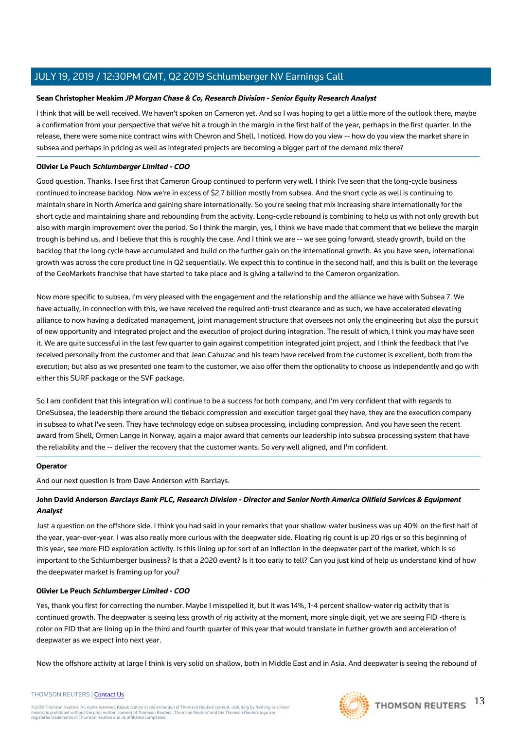#### **Sean Christopher Meakim JP Morgan Chase & Co, Research Division - Senior Equity Research Analyst**

I think that will be well received. We haven't spoken on Cameron yet. And so I was hoping to get a little more of the outlook there, maybe a confirmation from your perspective that we've hit a trough in the margin in the first half of the year, perhaps in the first quarter. In the release, there were some nice contract wins with Chevron and Shell, I noticed. How do you view -- how do you view the market share in subsea and perhaps in pricing as well as integrated projects are becoming a bigger part of the demand mix there?

#### **Olivier Le Peuch Schlumberger Limited - COO**

Good question. Thanks. I see first that Cameron Group continued to perform very well. I think I've seen that the long-cycle business continued to increase backlog. Now we're in excess of \$2.7 billion mostly from subsea. And the short cycle as well is continuing to maintain share in North America and gaining share internationally. So you're seeing that mix increasing share internationally for the short cycle and maintaining share and rebounding from the activity. Long-cycle rebound is combining to help us with not only growth but also with margin improvement over the period. So I think the margin, yes, I think we have made that comment that we believe the margin trough is behind us, and I believe that this is roughly the case. And I think we are -- we see going forward, steady growth, build on the backlog that the long cycle have accumulated and build on the further gain on the international growth. As you have seen, international growth was across the core product line in Q2 sequentially. We expect this to continue in the second half, and this is built on the leverage of the GeoMarkets franchise that have started to take place and is giving a tailwind to the Cameron organization.

Now more specific to subsea, I'm very pleased with the engagement and the relationship and the alliance we have with Subsea 7. We have actually, in connection with this, we have received the required anti-trust clearance and as such, we have accelerated elevating alliance to now having a dedicated management, joint management structure that oversees not only the engineering but also the pursuit of new opportunity and integrated project and the execution of project during integration. The result of which, I think you may have seen it. We are quite successful in the last few quarter to gain against competition integrated joint project, and I think the feedback that I've received personally from the customer and that Jean Cahuzac and his team have received from the customer is excellent, both from the execution; but also as we presented one team to the customer, we also offer them the optionality to choose us independently and go with either this SURF package or the SVF package.

So I am confident that this integration will continue to be a success for both company, and I'm very confident that with regards to OneSubsea, the leadership there around the tieback compression and execution target goal they have, they are the execution company in subsea to what I've seen. They have technology edge on subsea processing, including compression. And you have seen the recent award from Shell, Ormen Lange in Norway, again a major award that cements our leadership into subsea processing system that have the reliability and the -- deliver the recovery that the customer wants. So very well aligned, and I'm confident.

#### **Operator**

And our next question is from Dave Anderson with Barclays.

### **John David Anderson Barclays Bank PLC, Research Division - Director and Senior North America Oilfield Services & Equipment Analyst**

Just a question on the offshore side. I think you had said in your remarks that your shallow-water business was up 40% on the first half of the year, year-over-year. I was also really more curious with the deepwater side. Floating rig count is up 20 rigs or so this beginning of this year, see more FID exploration activity. Is this lining up for sort of an inflection in the deepwater part of the market, which is so important to the Schlumberger business? Is that a 2020 event? Is it too early to tell? Can you just kind of help us understand kind of how the deepwater market is framing up for you?

#### **Olivier Le Peuch Schlumberger Limited - COO**

Yes, thank you first for correcting the number. Maybe I misspelled it, but it was 14%, 1-4 percent shallow-water rig activity that is continued growth. The deepwater is seeing less growth of rig activity at the moment, more single digit, yet we are seeing FID -there is color on FID that are lining up in the third and fourth quarter of this year that would translate in further growth and acceleration of deepwater as we expect into next year.

Now the offshore activity at large I think is very solid on shallow, both in Middle East and in Asia. And deepwater is seeing the rebound of

# THOMSON REUTERS | [Contact Us](https://my.thomsonreuters.com/ContactUsNew)

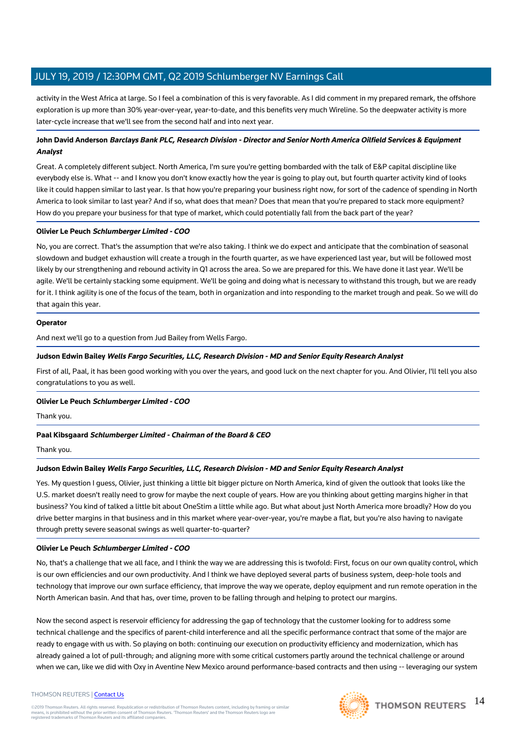activity in the West Africa at large. So I feel a combination of this is very favorable. As I did comment in my prepared remark, the offshore exploration is up more than 30% year-over-year, year-to-date, and this benefits very much Wireline. So the deepwater activity is more later-cycle increase that we'll see from the second half and into next year.

#### **John David Anderson Barclays Bank PLC, Research Division - Director and Senior North America Oilfield Services & Equipment Analyst**

Great. A completely different subject. North America, I'm sure you're getting bombarded with the talk of E&P capital discipline like everybody else is. What -- and I know you don't know exactly how the year is going to play out, but fourth quarter activity kind of looks like it could happen similar to last year. Is that how you're preparing your business right now, for sort of the cadence of spending in North America to look similar to last year? And if so, what does that mean? Does that mean that you're prepared to stack more equipment? How do you prepare your business for that type of market, which could potentially fall from the back part of the year?

#### **Olivier Le Peuch Schlumberger Limited - COO**

No, you are correct. That's the assumption that we're also taking. I think we do expect and anticipate that the combination of seasonal slowdown and budget exhaustion will create a trough in the fourth quarter, as we have experienced last year, but will be followed most likely by our strengthening and rebound activity in Q1 across the area. So we are prepared for this. We have done it last year. We'll be agile. We'll be certainly stacking some equipment. We'll be going and doing what is necessary to withstand this trough, but we are ready for it. I think agility is one of the focus of the team, both in organization and into responding to the market trough and peak. So we will do that again this year.

#### **Operator**

And next we'll go to a question from Jud Bailey from Wells Fargo.

#### **Judson Edwin Bailey Wells Fargo Securities, LLC, Research Division - MD and Senior Equity Research Analyst**

First of all, Paal, it has been good working with you over the years, and good luck on the next chapter for you. And Olivier, I'll tell you also congratulations to you as well.

#### **Olivier Le Peuch Schlumberger Limited - COO**

Thank you.

#### **Paal Kibsgaard Schlumberger Limited - Chairman of the Board & CEO**

Thank you.

#### **Judson Edwin Bailey Wells Fargo Securities, LLC, Research Division - MD and Senior Equity Research Analyst**

Yes. My question I guess, Olivier, just thinking a little bit bigger picture on North America, kind of given the outlook that looks like the U.S. market doesn't really need to grow for maybe the next couple of years. How are you thinking about getting margins higher in that business? You kind of talked a little bit about OneStim a little while ago. But what about just North America more broadly? How do you drive better margins in that business and in this market where year-over-year, you're maybe a flat, but you're also having to navigate through pretty severe seasonal swings as well quarter-to-quarter?

#### **Olivier Le Peuch Schlumberger Limited - COO**

No, that's a challenge that we all face, and I think the way we are addressing this is twofold: First, focus on our own quality control, which is our own efficiencies and our own productivity. And I think we have deployed several parts of business system, deep-hole tools and technology that improve our own surface efficiency, that improve the way we operate, deploy equipment and run remote operation in the North American basin. And that has, over time, proven to be falling through and helping to protect our margins.

Now the second aspect is reservoir efficiency for addressing the gap of technology that the customer looking for to address some technical challenge and the specifics of parent-child interference and all the specific performance contract that some of the major are ready to engage with us with. So playing on both: continuing our execution on productivity efficiency and modernization, which has already gained a lot of pull-through; and aligning more with some critical customers partly around the technical challenge or around when we can, like we did with Oxy in Aventine New Mexico around performance-based contracts and then using -- leveraging our system

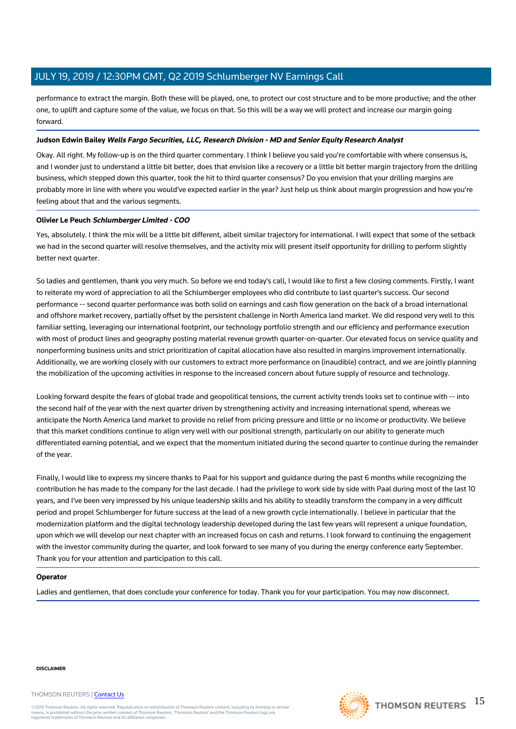performance to extract the margin. Both these will be played, one, to protect our cost structure and to be more productive; and the other one, to uplift and capture some of the value, we focus on that. So this will be a way we will protect and increase our margin going forward.

#### **Judson Edwin Bailey Wells Fargo Securities, LLC, Research Division - MD and Senior Equity Research Analyst**

Okay. All right. My follow-up is on the third quarter commentary. I think I believe you said you're comfortable with where consensus is, and I wonder just to understand a little bit better, does that envision like a recovery or a little bit better margin trajectory from the drilling business, which stepped down this quarter, took the hit to third quarter consensus? Do you envision that your drilling margins are probably more in line with where you would've expected earlier in the year? Just help us think about margin progression and how you're feeling about that and the various segments.

#### **Olivier Le Peuch Schlumberger Limited - COO**

Yes, absolutely. I think the mix will be a little bit different, albeit similar trajectory for international. I will expect that some of the setback we had in the second quarter will resolve themselves, and the activity mix will present itself opportunity for drilling to perform slightly better next quarter.

So ladies and gentlemen, thank you very much. So before we end today's call, I would like to first a few closing comments. Firstly, I want to reiterate my word of appreciation to all the Schlumberger employees who did contribute to last quarter's success. Our second performance -- second quarter performance was both solid on earnings and cash flow generation on the back of a broad international and offshore market recovery, partially offset by the persistent challenge in North America land market. We did respond very well to this familiar setting, leveraging our international footprint, our technology portfolio strength and our efficiency and performance execution with most of product lines and geography posting material revenue growth quarter-on-quarter. Our elevated focus on service quality and nonperforming business units and strict prioritization of capital allocation have also resulted in margins improvement internationally. Additionally, we are working closely with our customers to extract more performance on (inaudible) contract, and we are jointly planning the mobilization of the upcoming activities in response to the increased concern about future supply of resource and technology.

Looking forward despite the fears of global trade and geopolitical tensions, the current activity trends looks set to continue with -- into the second half of the year with the next quarter driven by strengthening activity and increasing international spend, whereas we anticipate the North America land market to provide no relief from pricing pressure and little or no income or productivity. We believe that this market conditions continue to align very well with our positional strength, particularly on our ability to generate much differentiated earning potential, and we expect that the momentum initiated during the second quarter to continue during the remainder of the year.

Finally, I would like to express my sincere thanks to Paal for his support and guidance during the past 6 months while recognizing the contribution he has made to the company for the last decade. I had the privilege to work side by side with Paal during most of the last 10 years, and I've been very impressed by his unique leadership skills and his ability to steadily transform the company in a very difficult period and propel Schlumberger for future success at the lead of a new growth cycle internationally. I believe in particular that the modernization platform and the digital technology leadership developed during the last few years will represent a unique foundation, upon which we will develop our next chapter with an increased focus on cash and returns. I look forward to continuing the engagement with the investor community during the quarter, and look forward to see many of you during the energy conference early September. Thank you for your attention and participation to this call.

#### **Operator**

Ladies and gentlemen, that does conclude your conference for today. Thank you for your participation. You may now disconnect.

#### **DISCLAIMER**

#### THOMSON REUTERS | [Contact Us](https://my.thomsonreuters.com/ContactUsNew)